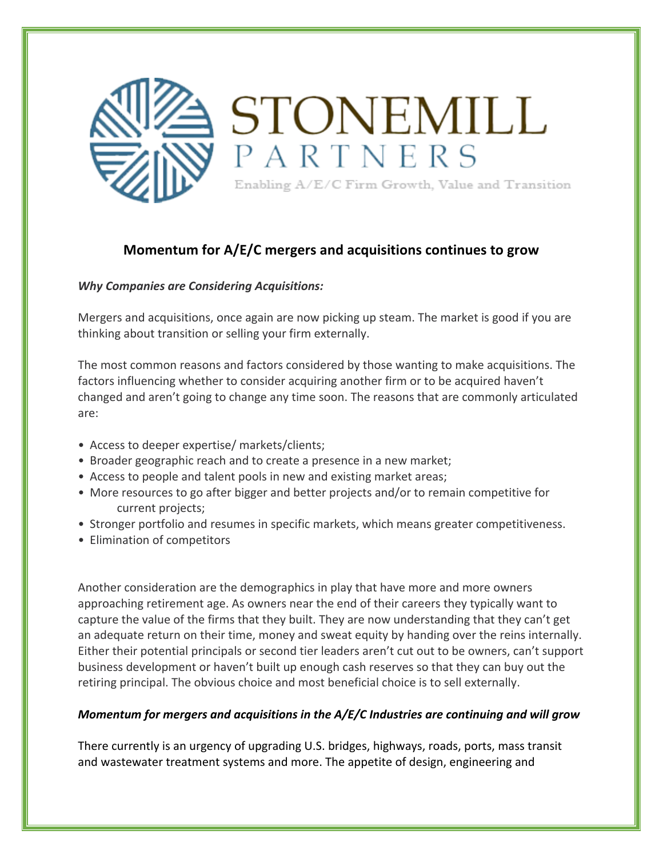

## **Momentum for A/E/C mergers and acquisitions continues to grow**

## *Why Companies are Considering Acquisitions:*

Mergers and acquisitions, once again are now picking up steam. The market is good if you are thinking about transition or selling your firm externally.

The most common reasons and factors considered by those wanting to make acquisitions. The factors influencing whether to consider acquiring another firm or to be acquired haven't changed and aren't going to change any time soon. The reasons that are commonly articulated are:

- Access to deeper expertise/ markets/clients;
- Broader geographic reach and to create a presence in a new market;
- Access to people and talent pools in new and existing market areas;
- More resources to go after bigger and better projects and/or to remain competitive for current projects;
- Stronger portfolio and resumes in specific markets, which means greater competitiveness.
- Elimination of competitors

Another consideration are the demographics in play that have more and more owners approaching retirement age. As owners near the end of their careers they typically want to capture the value of the firms that they built. They are now understanding that they can't get an adequate return on their time, money and sweat equity by handing over the reins internally. Either their potential principals or second tier leaders aren't cut out to be owners, can't support business development or haven't built up enough cash reserves so that they can buy out the retiring principal. The obvious choice and most beneficial choice is to sell externally.

## *Momentum for mergers and acquisitions in the A/E/C Industries are continuing and will grow*

There currently is an urgency of upgrading U.S. bridges, highways, roads, ports, mass transit and wastewater treatment systems and more. The appetite of design, engineering and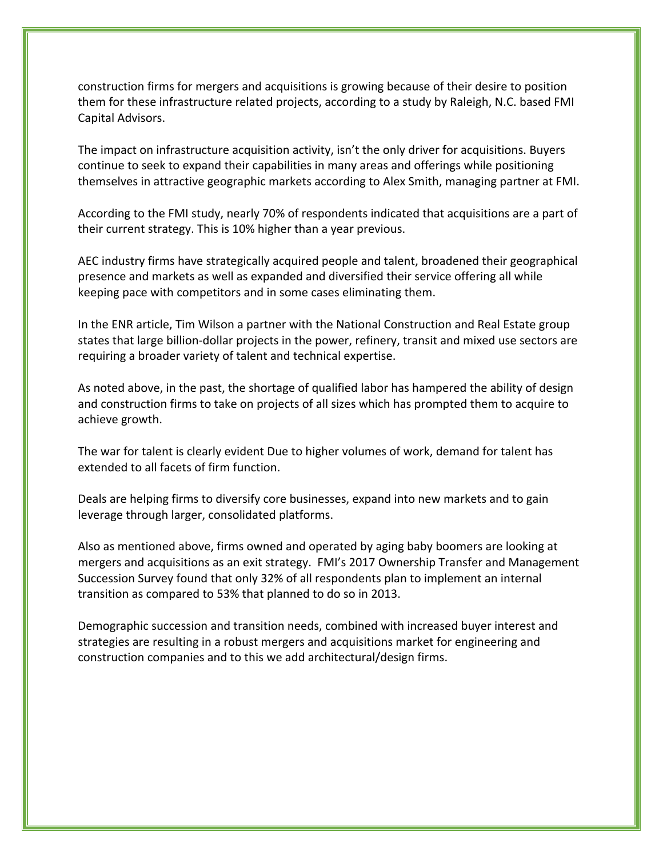construction firms for mergers and acquisitions is growing because of their desire to position them for these infrastructure related projects, according to a study by Raleigh, N.C. based FMI Capital Advisors.

The impact on infrastructure acquisition activity, isn't the only driver for acquisitions. Buyers continue to seek to expand their capabilities in many areas and offerings while positioning themselves in attractive geographic markets according to Alex Smith, managing partner at FMI.

According to the FMI study, nearly 70% of respondents indicated that acquisitions are a part of their current strategy. This is 10% higher than a year previous.

AEC industry firms have strategically acquired people and talent, broadened their geographical presence and markets as well as expanded and diversified their service offering all while keeping pace with competitors and in some cases eliminating them.

In the ENR article, Tim Wilson a partner with the National Construction and Real Estate group states that large billion-dollar projects in the power, refinery, transit and mixed use sectors are requiring a broader variety of talent and technical expertise.

As noted above, in the past, the shortage of qualified labor has hampered the ability of design and construction firms to take on projects of all sizes which has prompted them to acquire to achieve growth.

The war for talent is clearly evident Due to higher volumes of work, demand for talent has extended to all facets of firm function.

Deals are helping firms to diversify core businesses, expand into new markets and to gain leverage through larger, consolidated platforms.

Also as mentioned above, firms owned and operated by aging baby boomers are looking at mergers and acquisitions as an exit strategy. FMI's 2017 Ownership Transfer and Management Succession Survey found that only 32% of all respondents plan to implement an internal transition as compared to 53% that planned to do so in 2013.

Demographic succession and transition needs, combined with increased buyer interest and strategies are resulting in a robust mergers and acquisitions market for engineering and construction companies and to this we add architectural/design firms.